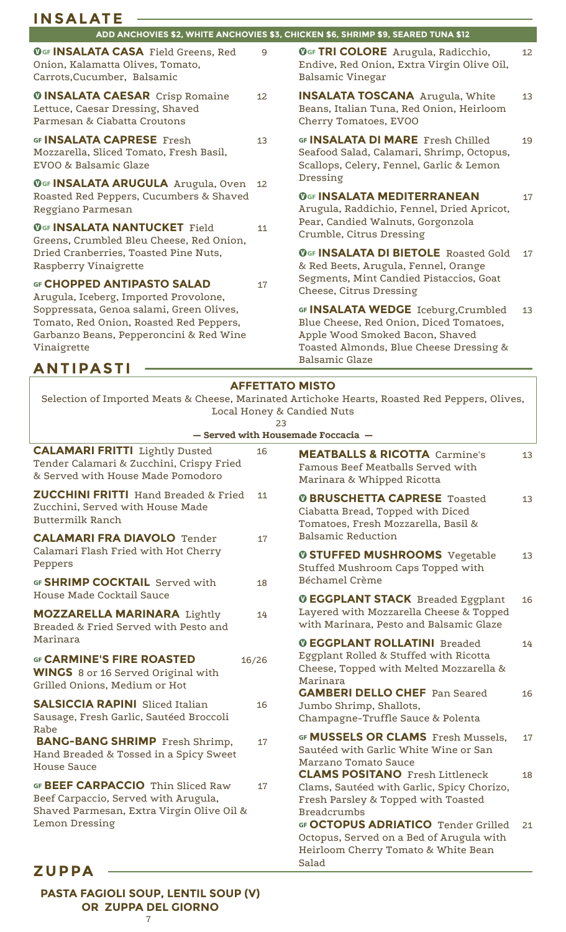| <b>INSALATE</b>                                                                                                                               |                              |                                                                                                                                                                                       |    |
|-----------------------------------------------------------------------------------------------------------------------------------------------|------------------------------|---------------------------------------------------------------------------------------------------------------------------------------------------------------------------------------|----|
|                                                                                                                                               |                              | ADD ANCHOVIES \$2, WHITE ANCHOVIES \$3, CHICKEN \$6, SHRIMP \$9, SEARED TUNA \$12                                                                                                     |    |
| OGF INSALATA CASA Field Greens, Red<br>Onion, Kalamatta Olives, Tomato,<br>Carrots, Cucumber, Balsamic                                        | 9                            | OGF TRI COLORE Arugula, Radicchio,<br>Endive, Red Onion, Extra Virgin Olive Oil,<br><b>Balsamic Vinegar</b>                                                                           | 12 |
| <b><i>OINSALATA CAESAR Crisp Romaine</i></b><br>Lettuce, Caesar Dressing, Shaved<br>Parmesan & Ciabatta Croutons                              | 12                           | <b>INSALATA TOSCANA</b> Arugula, White<br>Beans, Italian Tuna, Red Onion, Heirloom<br>Cherry Tomatoes, EVOO                                                                           | 13 |
| GF <b>INSALATA CAPRESE</b> Fresh<br>Mozzarella, Sliced Tomato, Fresh Basil,<br>EVOO & Balsamic Glaze                                          | 13                           | GF <b>INSALATA DI MARE</b> Fresh Chilled<br>Seafood Salad, Calamari, Shrimp, Octopus,<br>Scallops, Celery, Fennel, Garlic & Lemon<br>Dressing                                         | 19 |
| OGF <b>INSALATA ARUGULA</b> Arugula, Oven<br>Roasted Red Peppers, Cucumbers & Shaved<br>Reggiano Parmesan                                     | 12                           | <b>OGF INSALATA MEDITERRANEAN</b><br>Arugula, Raddichio, Fennel, Dried Apricot,<br>Pear, Candied Walnuts, Gorgonzola                                                                  | 17 |
| <b>OGF INSALATA NANTUCKET Field</b><br>Greens, Crumbled Bleu Cheese, Red Onion,<br>Dried Cranberries, Toasted Pine Nuts,                      | 11                           | Crumble, Citrus Dressing<br><b>OGF INSALATA DI BIETOLE Roasted Gold</b>                                                                                                               | 17 |
| Raspberry Vinaigrette<br>GF CHOPPED ANTIPASTO SALAD<br>Arugula, Iceberg, Imported Provolone,                                                  | 17                           | & Red Beets, Arugula, Fennel, Orange<br>Segments, Mint Candied Pistaccios, Goat<br>Cheese, Citrus Dressing                                                                            |    |
| Soppressata, Genoa salami, Green Olives,<br>Tomato, Red Onion, Roasted Red Peppers,<br>Garbanzo Beans, Pepperoncini & Red Wine<br>Vinaigrette |                              | GF INSALATA WEDGE Iceburg, Crumbled<br>Blue Cheese, Red Onion, Diced Tomatoes,<br>Apple Wood Smoked Bacon, Shaved<br>Toasted Almonds, Blue Cheese Dressing &<br><b>Balsamic Glaze</b> | 13 |
| <b>ANTIPASTI</b>                                                                                                                              |                              |                                                                                                                                                                                       |    |
|                                                                                                                                               | <b>AFFETTATO MISTO</b><br>23 | Selection of Imported Meats & Cheese, Marinated Artichoke Hearts, Roasted Red Peppers, Olives,<br>Local Honey & Candied Nuts<br>- Served with Housemade Foccacia -                    |    |
| <b>CALAMARI FRITTI</b> Lightly Dusted<br>Tender Calamari & Zucchini, Crispy Fried<br>& Served with House Made Pomodoro                        | 16                           | <b>MEATBALLS &amp; RICOTTA Carmine's</b><br>Famous Beef Meatballs Served with<br>Marinara & Whipped Ricotta                                                                           | 13 |
| <b>ZUCCHINI FRITTI</b> Hand Breaded & Fried<br>Zucchini, Served with House Made<br><b>Buttermilk Ranch</b>                                    | 11                           | <b>O BRUSCHETTA CAPRESE Toasted</b><br>Ciabatta Bread, Topped with Diced<br>Tomatoes, Fresh Mozzarella, Basil &                                                                       | 13 |
| <b>CALAMARI FRA DIAVOLO Tender</b><br>Calamari Flash Fried with Hot Cherry<br>Peppers                                                         | 17                           | <b>Balsamic Reduction</b><br><b><i>O STUFFED MUSHROOMS Vegetable</i></b><br>Stuffed Mushroom Caps Topped with                                                                         | 13 |
| GF SHRIMP COCKTAIL Served with<br>House Made Cocktail Sauce                                                                                   | 18                           | Béchamel Crème                                                                                                                                                                        |    |
| <b>MOZZARELLA MARINARA Lightly</b><br>Breaded & Fried Served with Pesto and                                                                   | 14                           | <b>O EGGPLANT STACK</b> Breaded Eggplant<br>Layered with Mozzarella Cheese & Topped<br>with Marinara, Pesto and Balsamic Glaze                                                        | 16 |
| Marinara<br><b>GF CARMINE'S FIRE ROASTED</b><br><b>WINGS</b> 8 or 16 Served Original with                                                     | 16/26                        | <b><i>O EGGPLANT ROLLATINI Breaded</i></b><br>Eggplant Rolled & Stuffed with Ricotta<br>Cheese, Topped with Melted Mozzarella &<br>Marinara                                           | 14 |
| Grilled Onions, Medium or Hot<br><b>SALSICCIA RAPINI</b> Sliced Italian<br>Sausage, Fresh Garlic, Sautéed Broccoli                            | 16                           | <b>GAMBERI DELLO CHEF Pan Seared</b><br>Jumbo Shrimp, Shallots,<br>Champagne-Truffle Sauce & Polenta                                                                                  | 16 |
| Rabe<br><b>BANG-BANG SHRIMP</b> Fresh Shrimp,<br>Hand Breaded & Tossed in a Spicy Sweet<br><b>House Sauce</b>                                 | 17                           | GF MUSSELS OR CLAMS Fresh Mussels,<br>Sautéed with Garlic White Wine or San<br>Marzano Tomato Sauce                                                                                   | 17 |
| GF BEEF CARPACCIO Thin Sliced Raw<br>Beef Carpaccio, Served with Arugula,<br>Shaved Parmesan, Extra Virgin Olive Oil &                        | 17                           | <b>CLAMS POSITANO</b> Fresh Littleneck<br>Clams, Sautéed with Garlic, Spicy Chorizo,<br>Fresh Parsley & Topped with Toasted<br><b>Breadcrumbs</b>                                     | 18 |
| Lemon Dressing                                                                                                                                |                              | GF OCTOPUS ADRIATICO Tender Grilled<br>Octopus, Served on a Bed of Arugula with<br>Heirloom Cherry Tomato & White Bean<br>Salad                                                       | 21 |
| <b>ZUPPA</b>                                                                                                                                  |                              |                                                                                                                                                                                       |    |

**PASTA FAGIOLI SOUP, LENTIL SOUP (V) OR ZUPPA DEL GIORNO**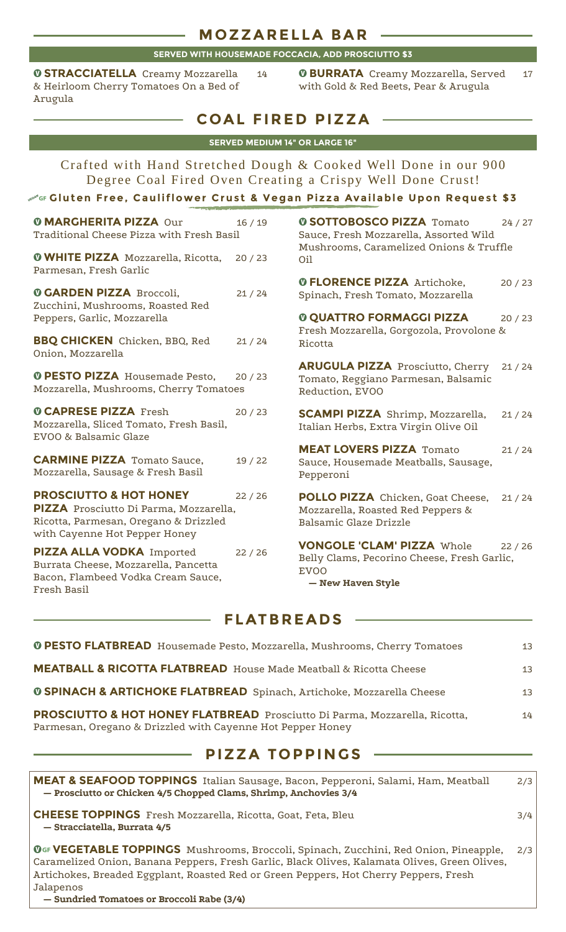#### **M OZZARELLA BA R**

#### **SERVED WITH HOUSEMADE FOCCACIA, ADD PROSCIUTTO \$3**

**O STRACCIATELLA** Creamy Mozzarella 14 & Heirloom Cherry Tomatoes On a Bed of Arugula

**O BURRATA** Creamy Mozzarella, Served 17 with Gold & Red Beets, Pear & Arugula

## **COAL FIRED PIZZA**

|  | <b>SERVED MEDIUM 14" OR LARGE 16"</b> |
|--|---------------------------------------|
|  |                                       |

Crafted with Hand Stretched Dough & Cooked Well Done in our 900 Degree Coal Fired Oven Creating a Crispy Well Done Crust!

#### ¼… **Gluten Free, Cauliflower Crus t & Vegan Pizza Available Upon Reques t \$3**

| <b><i>O</i> MARGHERITA PIZZA Our</b><br>Traditional Cheese Pizza with Fresh Basil<br><b>O WHITE PIZZA</b> Mozzarella, Ricotta,                        | 16/19 | <b>0 SOTTOBOSCO PIZZA Tomato</b><br>Sauce, Fresh Mozzarella, Assorted Wild<br>Mushrooms, Caramelized Onions & Truffle      | 24/27 |
|-------------------------------------------------------------------------------------------------------------------------------------------------------|-------|----------------------------------------------------------------------------------------------------------------------------|-------|
| Parmesan, Fresh Garlic                                                                                                                                | 20/23 | Oil<br><b><i>OFLORENCE PIZZA Artichoke,</i></b>                                                                            | 20/23 |
| <b><i>O GARDEN PIZZA Broccoli,</i></b><br>Zucchini, Mushrooms, Roasted Red<br>Peppers, Garlic, Mozzarella                                             | 21/24 | Spinach, Fresh Tomato, Mozzarella<br><b><i>O QUATTRO FORMAGGI PIZZA</i></b>                                                | 20/23 |
| <b>BBQ CHICKEN</b> Chicken, BBQ, Red<br>Onion, Mozzarella                                                                                             | 21/24 | Fresh Mozzarella, Gorgozola, Provolone &<br>Ricotta                                                                        |       |
| <b>O PESTO PIZZA</b> Housemade Pesto,<br>Mozzarella, Mushrooms, Cherry Tomatoes                                                                       | 20/23 | <b>ARUGULA PIZZA Prosciutto, Cherry</b><br>Tomato, Reggiano Parmesan, Balsamic<br>Reduction, EVOO                          | 21/24 |
| <b><i>O CAPRESE PIZZA Fresh</i></b><br>Mozzarella, Sliced Tomato, Fresh Basil,<br>EVOO & Balsamic Glaze                                               | 20/23 | <b>SCAMPI PIZZA</b> Shrimp, Mozzarella,<br>Italian Herbs, Extra Virgin Olive Oil                                           | 21/24 |
| <b>CARMINE PIZZA Tomato Sauce,</b><br>Mozzarella, Sausage & Fresh Basil                                                                               | 19/22 | <b>MEAT LOVERS PIZZA Tomato</b><br>Sauce, Housemade Meatballs, Sausage,<br>Pepperoni                                       | 21/24 |
| <b>PROSCIUTTO &amp; HOT HONEY</b><br>PIZZA Prosciutto Di Parma, Mozzarella,<br>Ricotta, Parmesan, Oregano & Drizzled<br>with Cayenne Hot Pepper Honey | 22/26 | POLLO PIZZA Chicken, Goat Cheese,<br>Mozzarella, Roasted Red Peppers &<br>Balsamic Glaze Drizzle                           | 21/24 |
| PIZZA ALLA VODKA Imported<br>Burrata Cheese, Mozzarella, Pancetta<br>Bacon, Flambeed Vodka Cream Sauce,<br>Fresh Basil                                | 22/26 | <b>VONGOLE 'CLAM' PIZZA Whole</b><br>Belly Clams, Pecorino Cheese, Fresh Garlic,<br>EV <sub>O</sub> O<br>- New Haven Style | 22/26 |

| <b>0 SOTTOBOSCO PIZZA Tomato</b><br>Sauce, Fresh Mozzarella, Assorted Wild<br>Mushrooms, Caramelized Onions & Truffle<br>Oil | 24 / 27 |
|------------------------------------------------------------------------------------------------------------------------------|---------|
| <b><i>OFLORENCE PIZZA Artichoke,</i></b><br>Spinach, Fresh Tomato, Mozzarella                                                | 20/23   |

| <b>0 QUATTRO FORMAGGI PIZZA</b><br>Fresh Mozzarella, Gorgozola, Provolone &<br>Ricotta                    | 20/23 |
|-----------------------------------------------------------------------------------------------------------|-------|
| <b>ARUGULA PIZZA</b> Prosciutto, Cherry 21 / 24<br>Tomato, Reggiano Parmesan, Balsamic<br>Reduction, EVOO |       |

### **FLATBREADS**

| <b>PROSCIUTTO &amp; HOT HONEY FLATBREAD</b> Prosciutto Di Parma, Mozzarella, Ricotta,<br>Parmesan, Oregano & Drizzled with Cayenne Hot Pepper Honey | 14 |
|-----------------------------------------------------------------------------------------------------------------------------------------------------|----|
| <b>0 SPINACH &amp; ARTICHOKE FLATBREAD</b> Spinach, Artichoke, Mozzarella Cheese                                                                    | 13 |
| <b>MEATBALL &amp; RICOTTA FLATBREAD</b> House Made Meatball & Ricotta Cheese                                                                        | 13 |
| <b>O PESTO FLATBREAD</b> Housemade Pesto, Mozzarella, Mushrooms, Cherry Tomatoes                                                                    | 13 |

### **PIZZA TOPPINGS**

| <b>MEAT &amp; SEAFOOD TOPPINGS</b> Italian Sausage, Bacon, Pepperoni, Salami, Ham, Meatball<br>- Prosciutto or Chicken 4/5 Chopped Clams, Shrimp, Anchovies 3/4                                                                                                                             | 2/3 |
|---------------------------------------------------------------------------------------------------------------------------------------------------------------------------------------------------------------------------------------------------------------------------------------------|-----|
| <b>CHEESE TOPPINGS</b> Fresh Mozzarella, Ricotta, Goat, Feta, Bleu<br>- Stracciatella, Burrata 4/5                                                                                                                                                                                          | 3/4 |
| OGF VEGETABLE TOPPINGS Mushrooms, Broccoli, Spinach, Zucchini, Red Onion, Pineapple,<br>Caramelized Onion, Banana Peppers, Fresh Garlic, Black Olives, Kalamata Olives, Green Olives,<br>Artichokes, Breaded Eggplant, Roasted Red or Green Peppers, Hot Cherry Peppers, Fresh<br>Jalapenos | 2/3 |

**— Sundried Tomatoes or Broccoli Rabe (3/4)**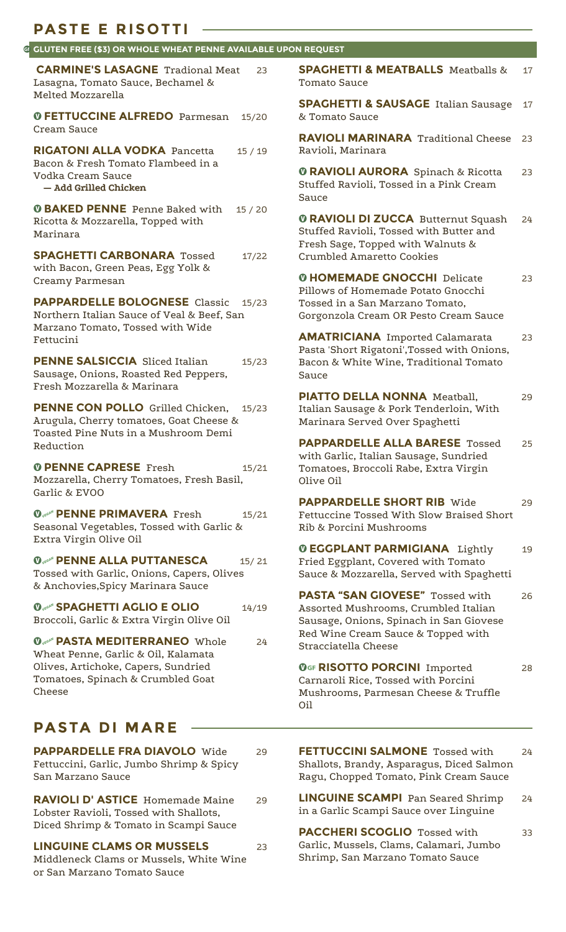|                                                                                                                                                      | G GLUTEN FREE (\$3) OR WHOLE WHEAT PENNE AVAILABLE UPON REQUEST                                                                                         |    |
|------------------------------------------------------------------------------------------------------------------------------------------------------|---------------------------------------------------------------------------------------------------------------------------------------------------------|----|
| <b>CARMINE'S LASAGNE Tradional Meat</b><br>23<br>Lasagna, Tomato Sauce, Bechamel &                                                                   | <b>SPAGHETTI &amp; MEATBALLS</b> Meatballs &<br>Tomato Sauce                                                                                            | 17 |
| Melted Mozzarella<br><b>O FETTUCCINE ALFREDO</b> Parmesan<br>15/20                                                                                   | <b>SPAGHETTI &amp; SAUSAGE</b> Italian Sausage<br>& Tomato Sauce                                                                                        | 17 |
| Cream Sauce<br><b>RIGATONI ALLA VODKA Pancetta</b><br>15/19                                                                                          | <b>RAVIOLI MARINARA</b> Traditional Cheese<br>Ravioli, Marinara                                                                                         | 23 |
| Bacon & Fresh Tomato Flambeed in a<br>Vodka Cream Sauce<br>- Add Grilled Chicken                                                                     | <b><i>O RAVIOLI AURORA Spinach &amp; Ricotta</i></b><br>Stuffed Ravioli, Tossed in a Pink Cream<br>Sauce                                                | 23 |
| <b><i>O BAKED PENNE Penne Baked with</i></b><br>15/20<br>Ricotta & Mozzarella, Topped with<br>Marinara<br><b>SPAGHETTI CARBONARA Tossed</b><br>17/22 | <b>O RAVIOLI DI ZUCCA Butternut Squash</b><br>Stuffed Ravioli, Tossed with Butter and<br>Fresh Sage, Topped with Walnuts &<br>Crumbled Amaretto Cookies | 24 |
| with Bacon, Green Peas, Egg Yolk &<br>Creamy Parmesan                                                                                                | <b>O HOMEMADE GNOCCHI Delicate</b>                                                                                                                      | 23 |
| <b>PAPPARDELLE BOLOGNESE</b> Classic<br>15/23<br>Northern Italian Sauce of Veal & Beef, San                                                          | Pillows of Homemade Potato Gnocchi<br>Tossed in a San Marzano Tomato,<br>Gorgonzola Cream OR Pesto Cream Sauce                                          |    |
| Marzano Tomato, Tossed with Wide<br>Fettucini                                                                                                        | <b>AMATRICIANA</b> Imported Calamarata<br>Pasta 'Short Rigatoni', Tossed with Onions,                                                                   | 23 |
| <b>PENNE SALSICCIA</b> Sliced Italian<br>15/23<br>Sausage, Onions, Roasted Red Peppers,<br>Fresh Mozzarella & Marinara                               | Bacon & White Wine, Traditional Tomato<br>Sauce                                                                                                         |    |
| PENNE CON POLLO Grilled Chicken, 15/23<br>Arugula, Cherry tomatoes, Goat Cheese &                                                                    | <b>PIATTO DELLA NONNA</b> Meatball,<br>Italian Sausage & Pork Tenderloin, With<br>Marinara Served Over Spaghetti                                        | 29 |
| Toasted Pine Nuts in a Mushroom Demi<br>Reduction                                                                                                    | <b>PAPPARDELLE ALLA BARESE Tossed</b><br>with Garlic, Italian Sausage, Sundried                                                                         | 25 |
| <b><i>O PENNE CAPRESE Fresh</i></b><br>15/21<br>Mozzarella, Cherry Tomatoes, Fresh Basil,<br>Garlic & EVOO                                           | Tomatoes, Broccoli Rabe, Extra Virgin<br>Olive Oil                                                                                                      |    |
| <b>OvegeN' PENNE PRIMAVERA</b> Fresh<br>15/21<br>Seasonal Vegetables, Tossed with Garlic &                                                           | <b>PAPPARDELLE SHORT RIB Wide</b><br>Fettuccine Tossed With Slow Braised Short<br>Rib & Porcini Mushrooms                                               | 29 |
| Extra Virgin Olive Oil<br><b>Overit PENNE ALLA PUTTANESCA</b><br>15/21<br>Tossed with Garlic, Onions, Capers, Olives                                 | <b><i>O EGGPLANT PARMIGIANA Lightly</i></b><br>Fried Eggplant, Covered with Tomato<br>Sauce & Mozzarella, Served with Spaghetti                         | 19 |
| & Anchovies, Spicy Marinara Sauce                                                                                                                    | <b>PASTA "SAN GIOVESE"</b> Tossed with                                                                                                                  | 26 |
| <b>Overable SPAGHETTI AGLIO E OLIO</b><br>14/19<br>Broccoli, Garlic & Extra Virgin Olive Oil                                                         | Assorted Mushrooms, Crumbled Italian<br>Sausage, Onions, Spinach in San Giovese<br>Red Wine Cream Sauce & Topped with                                   |    |
| <b>Overify PASTA MEDITERRANEO</b> Whole<br>24<br>Wheat Penne, Garlic & Oil, Kalamata                                                                 | Stracciatella Cheese                                                                                                                                    |    |
| Olives, Artichoke, Capers, Sundried<br>Tomatoes, Spinach & Crumbled Goat<br>Cheese                                                                   | <b>OGF RISOTTO PORCINI Imported</b><br>Carnaroli Rice, Tossed with Porcini<br>Mushrooms, Parmesan Cheese & Truffle<br>Oil                               | 28 |

San Marzano Sauce

**RAVIOLI D' ASTICE** Homemade Maine 29

**LINGUINE CLAMS OR MUSSELS** 23 Middleneck Clams or Mussels, White Wine

Lobster Ravioli, Tossed with Shallots, Diced Shrimp & Tomato in Scampi Sauce

or San Marzano Tomato Sauce

**LINGUINE SCAMPI** Pan Seared Shrimp 24 in a Garlic Scampi Sauce over Linguine

Ragu, Chopped Tomato, Pink Cream Sauce

**PACCHERI SCOGLIO** Tossed with 33 Garlic, Mussels, Clams, Calamari, Jumbo Shrimp, San Marzano Tomato Sauce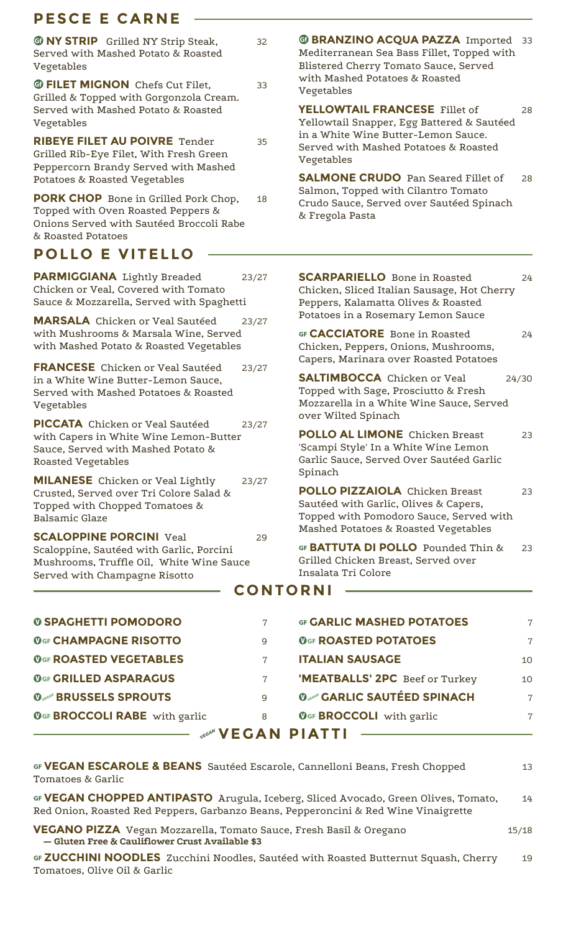# **PESCE E CARNE**

| <b>TO NY STRIP</b> Grilled NY Strip Steak,<br>Served with Mashed Potato & Roasted<br>Vegetables                                                          | 32    | <b>@ BRANZINO ACQUA PAZZA Imported 33</b><br>Mediterranean Sea Bass Fillet, Topped with<br>Blistered Cherry Tomato Sauce, Served                                  |                |
|----------------------------------------------------------------------------------------------------------------------------------------------------------|-------|-------------------------------------------------------------------------------------------------------------------------------------------------------------------|----------------|
| <b>@ FILET MIGNON</b> Chefs Cut Filet.                                                                                                                   | 33    | with Mashed Potatoes & Roasted<br>Vegetables                                                                                                                      |                |
| Grilled & Topped with Gorgonzola Cream.<br>Served with Mashed Potato & Roasted<br>Vegetables                                                             |       | YELLOWTAIL FRANCESE Fillet of<br>Yellowtail Snapper, Egg Battered & Sautéed                                                                                       | 28             |
| <b>RIBEYE FILET AU POIVRE Tender</b><br>Grilled Rib-Eye Filet, With Fresh Green<br>Peppercorn Brandy Served with Mashed<br>Potatoes & Roasted Vegetables | 35    | in a White Wine Butter-Lemon Sauce.<br>Served with Mashed Potatoes & Roasted<br>Vegetables<br><b>SALMONE CRUDO</b> Pan Seared Fillet of                           | 28             |
| <b>PORK CHOP</b> Bone in Grilled Pork Chop,<br>Topped with Oven Roasted Peppers &<br>Onions Served with Sautéed Broccoli Rabe<br>& Roasted Potatoes      | 18    | Salmon, Topped with Cilantro Tomato<br>Crudo Sauce, Served over Sautéed Spinach<br>& Fregola Pasta                                                                |                |
| <b>POLLO E VITELLO</b>                                                                                                                                   |       |                                                                                                                                                                   |                |
| <b>PARMIGGIANA</b> Lightly Breaded<br>Chicken or Veal, Covered with Tomato<br>Sauce & Mozzarella, Served with Spaghetti                                  | 23/27 | <b>SCARPARIELLO</b> Bone in Roasted<br>Chicken, Sliced Italian Sausage, Hot Cherry<br>Peppers, Kalamatta Olives & Roasted                                         | 24             |
| <b>MARSALA</b> Chicken or Veal Sautéed                                                                                                                   | 23/27 | Potatoes in a Rosemary Lemon Sauce                                                                                                                                |                |
| with Mushrooms & Marsala Wine, Served<br>with Mashed Potato & Roasted Vegetables                                                                         |       | GF CACCIATORE Bone in Roasted<br>Chicken, Peppers, Onions, Mushrooms,                                                                                             | 24             |
| <b>FRANCESE</b> Chicken or Veal Sautéed<br>in a White Wine Butter-Lemon Sauce,<br>Served with Mashed Potatoes & Roasted<br>Vegetables                    | 23/27 | Capers, Marinara over Roasted Potatoes<br><b>SALTIMBOCCA</b> Chicken or Veal<br>Topped with Sage, Prosciutto & Fresh<br>Mozzarella in a White Wine Sauce, Served  | 24/30          |
| <b>PICCATA</b> Chicken or Veal Sautéed<br>with Capers in White Wine Lemon-Butter<br>Sauce, Served with Mashed Potato &<br>Roasted Vegetables             | 23/27 | over Wilted Spinach<br><b>POLLO AL LIMONE</b> Chicken Breast<br>'Scampi Style' In a White Wine Lemon<br>Garlic Sauce, Served Over Sautéed Garlic<br>Spinach       | 23             |
| <b>MILANESE</b> Chicken or Veal Lightly<br>Crusted, Served over Tri Colore Salad &<br>Topped with Chopped Tomatoes &<br><b>Balsamic Glaze</b>            | 23/27 | <b>POLLO PIZZAIOLA</b> Chicken Breast<br>Sautéed with Garlic, Olives & Capers,<br>Topped with Pomodoro Sauce, Served with<br>Mashed Potatoes & Roasted Vegetables | 23             |
| <b>SCALOPPINE PORCINI Veal</b><br>Scaloppine, Sautéed with Garlic, Porcini<br>Mushrooms, Truffle Oil, White Wine Sauce<br>Served with Champagne Risotto  | 29    | GF BATTUTA DI POLLO Pounded Thin &<br>Grilled Chicken Breast, Served over<br>Insalata Tri Colore                                                                  | 23             |
|                                                                                                                                                          |       | <b>CONTORNI</b>                                                                                                                                                   |                |
| <b><i>© SPAGHETTI POMODORO</i></b>                                                                                                                       | 7     | <b>GF GARLIC MASHED POTATOES</b>                                                                                                                                  | $\overline{7}$ |
| <b>OGF CHAMPAGNE RISOTTO</b>                                                                                                                             | 9     | <b>OGF ROASTED POTATOES</b>                                                                                                                                       | $\overline{7}$ |
| <b>OGF ROASTED VEGETABLES</b>                                                                                                                            | 7     | <b>ITALIAN SAUSAGE</b>                                                                                                                                            | 10             |
| <b>OGF GRILLED ASPARAGUS</b>                                                                                                                             | 7     | 'MEATBALLS' 2PC Beef or Turkey                                                                                                                                    | 10             |
| <b>Overlife BRUSSELS SPROUTS</b>                                                                                                                         | 9     | <b>Overall'S SAUTÉED SPINACH</b>                                                                                                                                  | $\overline{7}$ |
| <b>OGF BROCCOLI RABE</b> with garlic                                                                                                                     | 8     | <b>OGF BROCCOLI</b> with garlic                                                                                                                                   | 7              |

# **EXECTED A VEGAN PIATTI**

| GF VEGAN ESCAROLE & BEANS Sautéed Escarole, Cannelloni Beans, Fresh Chopped<br>Tomatoes & Garlic                                                                          | 13    |
|---------------------------------------------------------------------------------------------------------------------------------------------------------------------------|-------|
| GF VEGAN CHOPPED ANTIPASTO Arugula, Iceberg, Sliced Avocado, Green Olives, Tomato,<br>Red Onion, Roasted Red Peppers, Garbanzo Beans, Pepperoncini & Red Wine Vinaigrette | 14    |
| <b>VEGANO PIZZA</b> Vegan Mozzarella, Tomato Sauce, Fresh Basil & Oregano<br>- Gluten Free & Cauliflower Crust Available \$3                                              | 15/18 |
| GF ZUCCHINI NOODLES Zucchini Noodles, Sautéed with Roasted Butternut Squash, Cherry<br>Tomatoes, Olive Oil & Garlic                                                       | 19    |